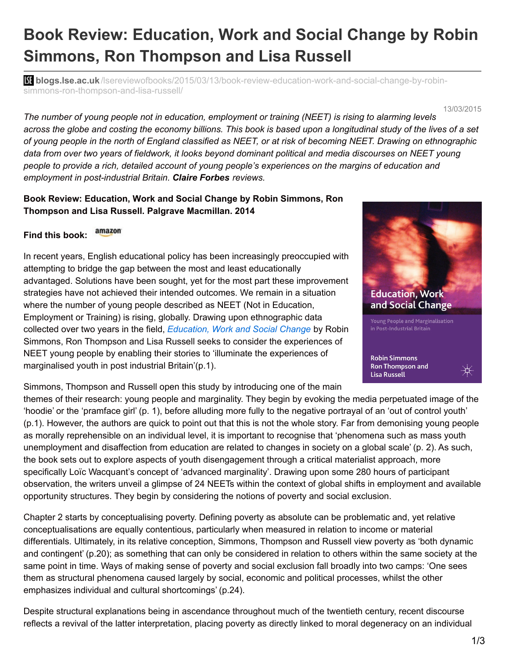## **Book Review: Education, Work and Social Change by Robin Simmons, Ron Thompson and Lisa Russell**

**blogs.lse.ac.uk**[/lsereviewofbooks/2015/03/13/book-review-education-work-and-social-change-by-robin](http://blogs.lse.ac.uk/lsereviewofbooks/2015/03/13/book-review-education-work-and-social-change-by-robin-simmons-ron-thompson-and-lisa-russell/)simmons-ron-thompson-and-lisa-russell/

13/03/2015

*The number of young people not in education, employment or training (NEET) is rising to alarming levels* across the globe and costing the economy billions. This book is based upon a longitudinal study of the lives of a set of young people in the north of England classified as NEET, or at risk of becoming NEET. Drawing on ethnographic data from over two vears of fieldwork, it looks bevond dominant political and media discourses on NEET voung *people to provide a rich, detailed account of young people's experiences on the margins of education and employment in post-industrial Britain. Claire Forbes reviews.*

## **Book Review: Education, Work and Social Change by Robin Simmons, Ron Thompson and Lisa Russell. Palgrave Macmillan. 2014**

## amazon **Find this book:**

In recent years, English educational policy has been increasingly preoccupied with attempting to bridge the gap between the most and least educationally advantaged. Solutions have been sought, yet for the most part these improvement strategies have not achieved their intended outcomes. We remain in a situation where the number of young people described as NEET (Not in Education, Employment or Training) is rising, globally. Drawing upon ethnographic data collected over two years in the field, *[Education,](http://www.palgrave.com/page/detail/education-work-and-social-change-robin-simmons/?K=9781137335920) Work and Social Change* by Robin Simmons, Ron Thompson and Lisa Russell seeks to consider the experiences of NEET young people by enabling their stories to 'illuminate the experiences of marginalised youth in post industrial Britain'(p.1).

Simmons, Thompson and Russell open this study by introducing one of the main

themes of their research: young people and marginality. They begin by evoking the media perpetuated image of the 'hoodie' or the 'pramface girl' (p. 1), before alluding more fully to the negative portrayal of an 'out of control youth' (p.1). However, the authors are quick to point out that this is not the whole story. Far from demonising young people as morally reprehensible on an individual level, it is important to recognise that 'phenomena such as mass youth unemployment and disaffection from education are related to changes in society on a global scale' (p. 2). As such, the book sets out to explore aspects of youth disengagement through a critical materialist approach, more specifically Loïc Wacquant's concept of 'advanced marginality'. Drawing upon some 280 hours of participant observation, the writers unveil a glimpse of 24 NEETs within the context of global shifts in employment and available opportunity structures. They begin by considering the notions of poverty and social exclusion.

Chapter 2 starts by conceptualising poverty. Defining poverty as absolute can be problematic and, yet relative conceptualisations are equally contentious, particularly when measured in relation to income or material differentials. Ultimately, in its relative conception, Simmons, Thompson and Russell view poverty as 'both dynamic and contingent' (p.20); as something that can only be considered in relation to others within the same society at the same point in time. Ways of making sense of poverty and social exclusion fall broadly into two camps: 'One sees them as structural phenomena caused largely by social, economic and political processes, whilst the other emphasizes individual and cultural shortcomings' (p.24).

Despite structural explanations being in ascendance throughout much of the twentieth century, recent discourse reflects a revival of the latter interpretation, placing poverty as directly linked to moral degeneracy on an individual

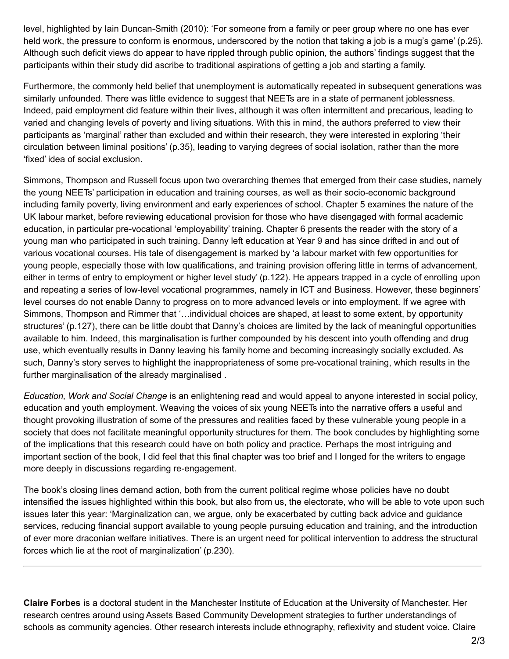level, highlighted by Iain Duncan-Smith (2010): 'For someone from a family or peer group where no one has ever held work, the pressure to conform is enormous, underscored by the notion that taking a job is a mug's game' (p.25). Although such deficit views do appear to have rippled through public opinion, the authors' findings suggest that the participants within their study did ascribe to traditional aspirations of getting a job and starting a family.

Furthermore, the commonly held belief that unemployment is automatically repeated in subsequent generations was similarly unfounded. There was little evidence to suggest that NEETs are in a state of permanent joblessness. Indeed, paid employment did feature within their lives, although it was often intermittent and precarious, leading to varied and changing levels of poverty and living situations. With this in mind, the authors preferred to view their participants as 'marginal' rather than excluded and within their research, they were interested in exploring 'their circulation between liminal positions' (p.35), leading to varying degrees of social isolation, rather than the more 'fixed' idea of social exclusion.

Simmons, Thompson and Russell focus upon two overarching themes that emerged from their case studies, namely the young NEETs' participation in education and training courses, as well as their socio-economic background including family poverty, living environment and early experiences of school. Chapter 5 examines the nature of the UK labour market, before reviewing educational provision for those who have disengaged with formal academic education, in particular pre-vocational 'employability' training. Chapter 6 presents the reader with the story of a young man who participated in such training. Danny left education at Year 9 and has since drifted in and out of various vocational courses. His tale of disengagement is marked by 'a labour market with few opportunities for young people, especially those with low qualifications, and training provision offering little in terms of advancement, either in terms of entry to employment or higher level study' (p.122). He appears trapped in a cycle of enrolling upon and repeating a series of low-level vocational programmes, namely in ICT and Business. However, these beginners' level courses do not enable Danny to progress on to more advanced levels or into employment. If we agree with Simmons, Thompson and Rimmer that '…individual choices are shaped, at least to some extent, by opportunity structures' (p.127), there can be little doubt that Danny's choices are limited by the lack of meaningful opportunities available to him. Indeed, this marginalisation is further compounded by his descent into youth offending and drug use, which eventually results in Danny leaving his family home and becoming increasingly socially excluded. As such, Danny's story serves to highlight the inappropriateness of some pre-vocational training, which results in the further marginalisation of the already marginalised .

*Education, Work and Social Change* is an enlightening read and would appeal to anyone interested in social policy, education and youth employment. Weaving the voices of six young NEETs into the narrative offers a useful and thought provoking illustration of some of the pressures and realities faced by these vulnerable young people in a society that does not facilitate meaningful opportunity structures for them. The book concludes by highlighting some of the implications that this research could have on both policy and practice. Perhaps the most intriguing and important section of the book, I did feel that this final chapter was too brief and I longed for the writers to engage more deeply in discussions regarding re-engagement.

The book's closing lines demand action, both from the current political regime whose policies have no doubt intensified the issues highlighted within this book, but also from us, the electorate, who will be able to vote upon such issues later this year: 'Marginalization can, we argue, only be exacerbated by cutting back advice and guidance services, reducing financial support available to young people pursuing education and training, and the introduction of ever more draconian welfare initiatives. There is an urgent need for political intervention to address the structural forces which lie at the root of marginalization' (p.230).

**Claire Forbes** is a doctoral student in the Manchester Institute of Education at the University of Manchester. Her research centres around using Assets Based Community Development strategies to further understandings of schools as community agencies. Other research interests include ethnography, reflexivity and student voice. Claire